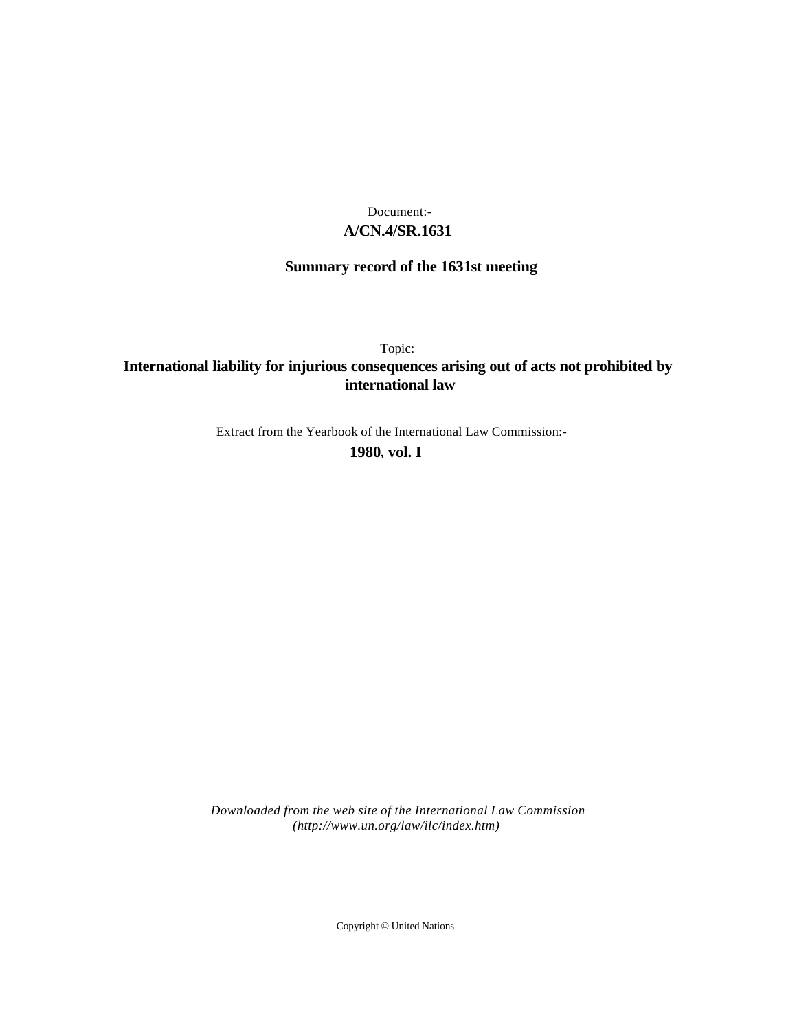### **A/CN.4/SR.1631** Document:-

# **Summary record of the 1631st meeting**

Topic:

# **International liability for injurious consequences arising out of acts not prohibited by international law**

Extract from the Yearbook of the International Law Commission:-

**1980** , **vol. I**

*Downloaded from the web site of the International Law Commission (http://www.un.org/law/ilc/index.htm)*

Copyright © United Nations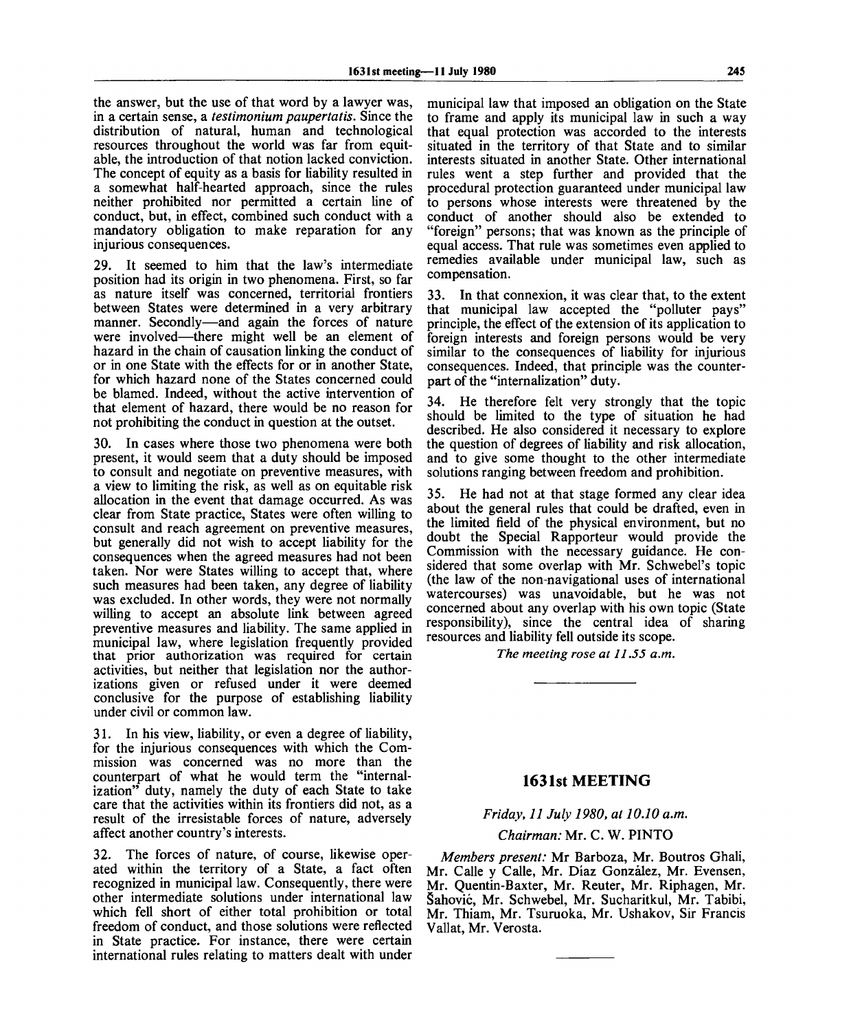the answer, but the use of that word by a lawyer was, in a certain sense, a *testimonium paupertatis.* Since the distribution of natural, human and technological resources throughout the world was far from equitable, the introduction of that notion lacked conviction. The concept of equity as a basis for liability resulted in a somewhat half-hearted approach, since the rules neither prohibited nor permitted a certain line of conduct, but, in effect, combined such conduct with a mandatory obligation to make reparation for any injurious consequences.

29. It seemed to him that the law's intermediate position had its origin in two phenomena. First, so far as nature itself was concerned, territorial frontiers between States were determined in a very arbitrary manner. Secondly—and again the forces of nature were involved—there might well be an element of hazard in the chain of causation linking the conduct of or in one State with the effects for or in another State, for which hazard none of the States concerned could be blamed. Indeed, without the active intervention of that element of hazard, there would be no reason for not prohibiting the conduct in question at the outset.

30. In cases where those two phenomena were both present, it would seem that a duty should be imposed to consult and negotiate on preventive measures, with a view to limiting the risk, as well as on equitable risk allocation in the event that damage occurred. As was clear from State practice, States were often willing to consult and reach agreement on preventive measures, but generally did not wish to accept liability for the consequences when the agreed measures had not been taken. Nor were States willing to accept that, where such measures had been taken, any degree of liability was excluded. In other words, they were not normally willing to accept an absolute link between agreed preventive measures and liability. The same applied in municipal law, where legislation frequently provided that prior authorization was required for certain activities, but neither that legislation nor the authorizations given or refused under it were deemed conclusive for the purpose of establishing liability under civil or common law.

31. In his view, liability, or even a degree of liability, for the injurious consequences with which the Commission was concerned was no more than the counterpart of what he would term the "internalization" duty, namely the duty of each State to take care that the activities within its frontiers did not, as a result of the irresistable forces of nature, adversely affect another country's interests.

32. The forces of nature, of course, likewise operated within the territory of a State, a fact often recognized in municipal law. Consequently, there were other intermediate solutions under international law which fell short of either total prohibition or total freedom of conduct, and those solutions were reflected in State practice. For instance, there were certain international rules relating to matters dealt with under municipal law that imposed an obligation on the State to frame and apply its municipal law in such a way that equal protection was accorded to the interests situated in the territory of that State and to similar interests situated in another State. Other international rules went a step further and provided that the procedural protection guaranteed under municipal law to persons whose interests were threatened by the conduct of another should also be extended to "foreign" persons; that was known as the principle of equal access. That rule was sometimes even applied to remedies available under municipal law, such as compensation.

33. In that connexion, it was clear that, to the extent that municipal law accepted the "polluter pays" principle, the effect of the extension of its application to foreign interests and foreign persons would be very similar to the consequences of liability for injurious consequences. Indeed, that principle was the counterpart of the "internalization" duty.

34. He therefore felt very strongly that the topic should be limited to the type of situation he had described. He also considered it necessary to explore the question of degrees of liability and risk allocation, and to give some thought to the other intermediate solutions ranging between freedom and prohibition.

35. He had not at that stage formed any clear idea about the general rules that could be drafted, even in the limited field of the physical environment, but no doubt the Special Rapporteur would provide the Commission with the necessary guidance. He considered that some overlap with Mr. Schwebel's topic (the law of the non-navigational uses of international watercourses) was unavoidable, but he was not concerned about any overlap with his own topic (State responsibility), since the central idea of sharing resources and liability fell outside its scope.

*The meeting rose at 11.55 a.m.*

### **1631st MEETING**

### *Friday, 11 July 1980, at 10.10 a.m.*

*Chairman:* Mr. C. W. PINTO

*Members present:* Mr Barboza, Mr. Boutros Ghali, Mr. Calle y Calle, Mr. Diaz Gonzalez, Mr. Evensen, Mr. Quentin-Baxter, Mr. Reuter, Mr. Riphagen, Mr. Sahovic, Mr. Schwebel, Mr. Sucharitkul, Mr. Tabibi, Mr. Thiam, Mr. Tsuruoka, Mr. Ushakov, Sir Francis Vallat, Mr. Verosta.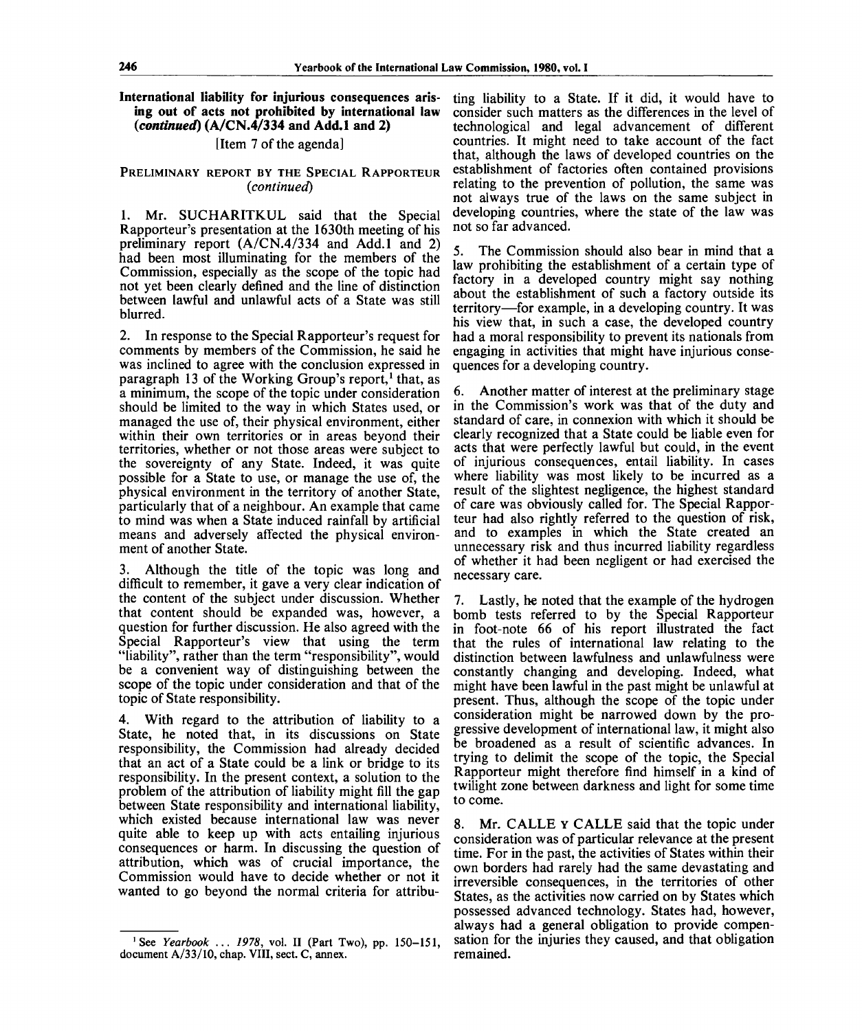**International liability for injurious consequences arising out of acts not prohibited by international law** *(continued)* **(A/CN.4/334 and Add.l and 2)**

[Item 7 of the agenda]

#### PRELIMINARY REPORT BY THE SPECIAL RAPPORTEUR *(continued)*

1. Mr. SUCHARITKUL said that the Special Rapporteur's presentation at the 1630th meeting of his preliminary report (A/CN.4/334 and Add.l and 2) had been most illuminating for the members of the Commission, especially as the scope of the topic had not yet been clearly defined and the line of distinction between lawful and unlawful acts of a State was still blurred.

2. In response to the Special Rapporteur's request for comments by members of the Commission, he said he was inclined to agree with the conclusion expressed in paragraph 13 of the Working Group's report,<sup>1</sup> that, as a minimum, the scope of the topic under consideration should be limited to the way in which States used, or managed the use of, their physical environment, either within their own territories or in areas beyond their territories, whether or not those areas were subject to the sovereignty of any State. Indeed, it was quite possible for a State to use, or manage the use of, the physical environment in the territory of another State, particularly that of a neighbour. An example that came to mind was when a State induced rainfall by artificial means and adversely affected the physical environment of another State.

3. Although the title of the topic was long and difficult to remember, it gave a very clear indication of the content of the subject under discussion. Whether that content should be expanded was, however, a question for further discussion. He also agreed with the Special Rapporteur's view that using the term "liability", rather than the term "responsibility", would be a convenient way of distinguishing between the scope of the topic under consideration and that of the topic of State responsibility.

4. With regard to the attribution of liability to a State, he noted that, in its discussions on State responsibility, the Commission had already decided that an act of a State could be a link or bridge to its responsibility. In the present context, a solution to the problem of the attribution of liability might fill the gap between State responsibility and international liability, which existed because international law was never quite able to keep up with acts entailing injurious consequences or harm. In discussing the question of attribution, which was of crucial importance, the Commission would have to decide whether or not it wanted to go beyond the normal criteria for attribu-

ting liability to a State. If it did, it would have to consider such matters as the differences in the level of technological and legal advancement of different countries. It might need to take account of the fact that, although the laws of developed countries on the establishment of factories often contained provisions relating to the prevention of pollution, the same was not always true of the laws on the same subject in developing countries, where the state of the law was not so far advanced.

5. The Commission should also bear in mind that a law prohibiting the establishment of a certain type of factory in a developed country might say nothing about the establishment of such a factory outside its territory—for example, in a developing country. It was his view that, in such a case, the developed country had a moral responsibility to prevent its nationals from engaging in activities that might have injurious consequences for a developing country.

6. Another matter of interest at the preliminary stage in the Commission's work was that of the duty and standard of care, in connexion with which it should be clearly recognized that a State could be liable even for acts that were perfectly lawful but could, in the event of injurious consequences, entail liability. In cases where liability was most likely to be incurred as a result of the slightest negligence, the highest standard of care was obviously called for. The Special Rapporteur had also rightly referred to the question of risk, and to examples in which the State created an unnecessary risk and thus incurred liability regardless of whether it had been negligent or had exercised the necessary care.

7. Lastly, he noted that the example of the hydrogen bomb tests referred to by the Special Rapporteur in foot-note 66 of his report illustrated the fact that the rules of international law relating to the distinction between lawfulness and unlawfulness were constantly changing and developing. Indeed, what might have been lawful in the past might be unlawful at present. Thus, although the scope of the topic under consideration might be narrowed down by the progressive development of international law, it might also be broadened as a result of scientific advances. In trying to delimit the scope of the topic, the Special Rapporteur might therefore find himself in a kind of twilight zone between darkness and light for some time to come.

8. Mr. CALLE Y CALLE said that the topic under consideration was of particular relevance at the present time. For in the past, the activities of States within their own borders had rarely had the same devastating and irreversible consequences, in the territories of other States, as the activities now carried on by States which possessed advanced technology. States had, however, always had a general obligation to provide compensation for the injuries they caused, and that obligation remained.

<sup>&#</sup>x27;See *Yearbook* .. . *1978,* vol. II (Part Two), pp. 150-151, document A/33/10, chap. VIII, sect. C, annex.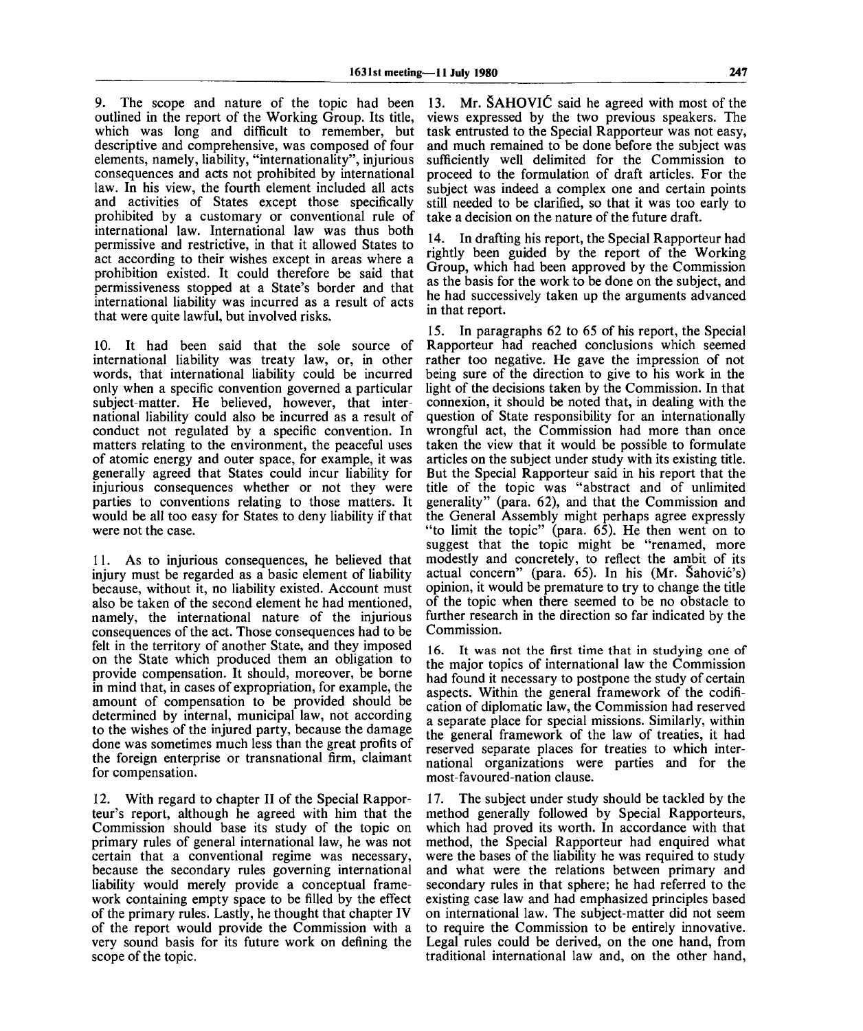9. The scope and nature of the topic had been outlined in the report of the Working Group. Its title, which was long and difficult to remember, but descriptive and comprehensive, was composed of four elements, namely, liability, "internationality", injurious consequences and acts not prohibited by international law. In his view, the fourth element included all acts and activities of States except those specifically prohibited by a customary or conventional rule of international law. International law was thus both permissive and restrictive, in that it allowed States to act according to their wishes except in areas where a prohibition existed. It could therefore be said that permissiveness stopped at a State's border and that international liability was incurred as a result of acts that were quite lawful, but involved risks.

10. It had been said that the sole source of international liability was treaty law, or, in other words, that international liability could be incurred only when a specific convention governed a particular subject-matter. He believed, however, that international liability could also be incurred as a result of conduct not regulated by a specific convention. In matters relating to the environment, the peaceful uses of atomic energy and outer space, for example, it was generally agreed that States could incur liability for injurious consequences whether or not they were parties to conventions relating to those matters. It would be all too easy for States to deny liability if that were not the case.

11. As to injurious consequences, he believed that injury must be regarded as a basic element of liability because, without it, no liability existed. Account must also be taken of the second element he had mentioned, namely, the international nature of the injurious consequences of the act. Those consequences had to be felt in the territory of another State, and they imposed on the State which produced them an obligation to provide compensation. It should, moreover, be borne in mind that, in cases of expropriation, for example, the amount of compensation to be provided should be determined by internal, municipal law, not according to the wishes of the injured party, because the damage done was sometimes much less than the great profits of the foreign enterprise or transnational firm, claimant for compensation.

12. With regard to chapter II of the Special Rapporteur's report, although he agreed with him that the Commission should base its study of the topic on primary rules of general international law, he was not certain that a conventional regime was necessary, because the secondary rules governing international liability would merely provide a conceptual framework containing empty space to be filled by the effect of the primary rules. Lastly, he thought that chapter IV of the report would provide the Commission with a very sound basis for its future work on defining the scope of the topic.

13. Mr. SAHOVlC said he agreed with most of the views expressed by the two previous speakers. The task entrusted to the Special Rapporteur was not easy, and much remained to be done before the subject was sufficiently well delimited for the Commission to proceed to the formulation of draft articles. For the subject was indeed a complex one and certain points still needed to be clarified, so that it was too early to take a decision on the nature of the future draft.

14. In drafting his report, the Special Rapporteur had rightly been guided by the report of the Working Group, which had been approved by the Commission as the basis for the work to be done on the subject, and he had successively taken up the arguments advanced in that report.

15. In paragraphs 62 to 65 of his report, the Special Rapporteur had reached conclusions which seemed rather too negative. He gave the impression of not being sure of the direction to give to his work in the light of the decisions taken by the Commission. In that connexion, it should be noted that, in dealing with the question of State responsibility for an internationally wrongful act, the Commission had more than once taken the view that it would be possible to formulate articles on the subject under study with its existing title. But the Special Rapporteur said in his report that the title of the topic was "abstract and of unlimited generality" (para. 62), and that the Commission and the General Assembly might perhaps agree expressly "to limit the topic" (para. 65). He then went on to suggest that the topic might be "renamed, more modestly and concretely, to reflect the ambit of its actual concern" (para. 65). In his (Mr. Sahovic's) opinion, it would be premature to try to change the title of the topic when there seemed to be no obstacle to further research in the direction so far indicated by the Commission.

16. It was not the first time that in studying one of the major topics of international law the Commission had found it necessary to postpone the study of certain aspects. Within the general framework of the codification of diplomatic law, the Commission had reserved a separate place for special missions. Similarly, within the general framework of the law of treaties, it had reserved separate places for treaties to which international organizations were parties and for the most-favoured-nation clause.

17. The subject under study should be tackled by the method generally followed by Special Rapporteurs, which had proved its worth. In accordance with that method, the Special Rapporteur had enquired what were the bases of the liability he was required to study and what were the relations between primary and secondary rules in that sphere; he had referred to the existing case law and had emphasized principles based on international law. The subject-matter did not seem to require the Commission to be entirely innovative. Legal rules could be derived, on the one hand, from traditional international law and, on the other hand,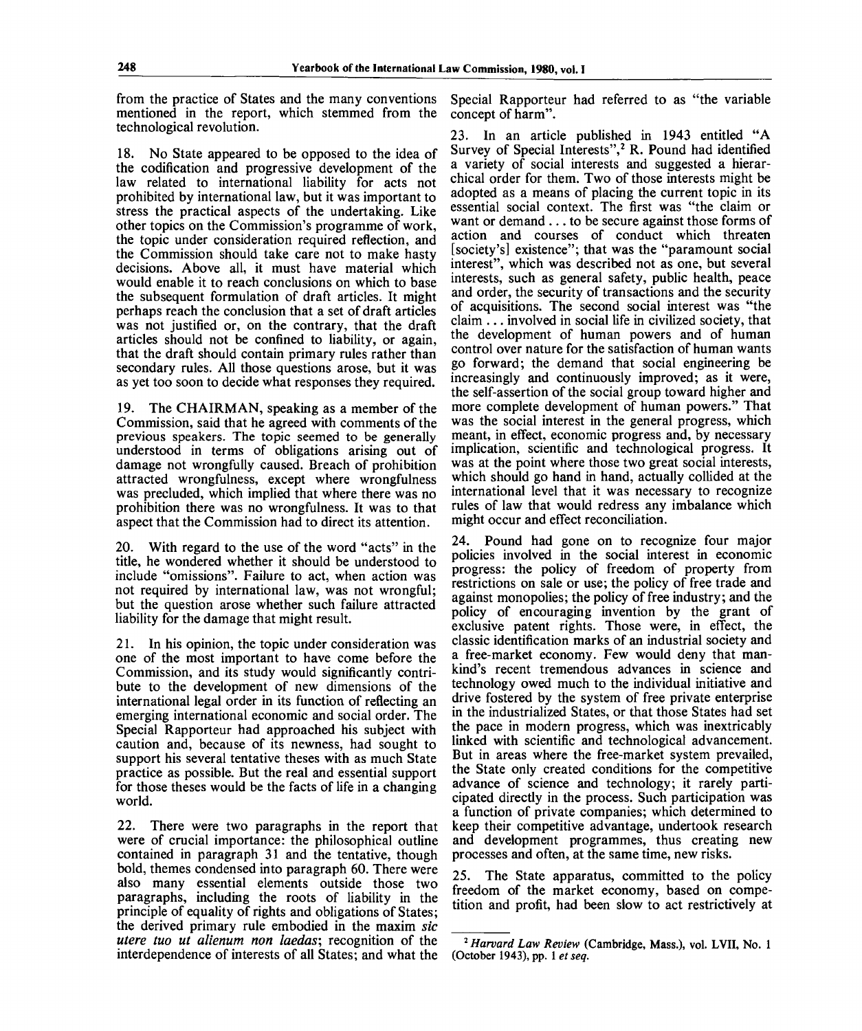from the practice of States and the many conventions mentioned in the report, which stemmed from the technological revolution.

18. No State appeared to be opposed to the idea of the codification and progressive development of the law related to international liability for acts not prohibited by international law, but it was important to stress the practical aspects of the undertaking. Like other topics on the Commission's programme of work, the topic under consideration required reflection, and the Commission should take care not to make hasty decisions. Above all, it must have material which would enable it to reach conclusions on which to base the subsequent formulation of draft articles. It might perhaps reach the conclusion that a set of draft articles was not justified or, on the contrary, that the draft articles should not be confined to liability, or again, that the draft should contain primary rules rather than secondary rules. All those questions arose, but it was as yet too soon to decide what responses they required.

19. The CHAIRMAN, speaking as a member of the Commission, said that he agreed with comments of the previous speakers. The topic seemed to be generally understood in terms of obligations arising out of damage not wrongfully caused. Breach of prohibition attracted wrongfulness, except where wrongfulness was precluded, which implied that where there was no prohibition there was no wrongfulness. It was to that aspect that the Commission had to direct its attention.

20. With regard to the use of the word "acts" in the title, he wondered whether it should be understood to include "omissions". Failure to act, when action was not required by international law, was not wrongful; but the question arose whether such failure attracted liability for the damage that might result.

21. In his opinion, the topic under consideration was one of the most important to have come before the Commission, and its study would significantly contribute to the development of new dimensions of the international legal order in its function of reflecting an emerging international economic and social order. The Special Rapporteur had approached his subject with caution and, because of its newness, had sought to support his several tentative theses with as much State practice as possible. But the real and essential support for those theses would be the facts of life in a changing world.

22. There were two paragraphs in the report that were of crucial importance: the philosophical outline contained in paragraph 31 and the tentative, though bold, themes condensed into paragraph 60. There were also many essential elements outside those two paragraphs, including the roots of liability in the principle of equality of rights and obligations of States; the derived primary rule embodied in the maxim *sic utere tuo ut alienum non laedas;* recognition of the interdependence of interests of all States; and what the

Special Rapporteur had referred to as "the variable concept of harm".

23. In an article published in 1943 entitled "A Survey of Special Interests",<sup>2</sup> R. Pound had identified a variety of social interests and suggested a hierarchical order for them. Two of those interests might be adopted as a means of placing the current topic in its essential social context. The first was "the claim or want or demand .. . to be secure against those forms of action and courses of conduct which threaten [society's] existence"; that was the "paramount social interest", which was described not as one, but several interests, such as general safety, public health, peace and order, the security of transactions and the security of acquisitions. The second social interest was "the claim .. . involved in social life in civilized society, that the development of human powers and of human control over nature for the satisfaction of human wants go forward; the demand that social engineering be increasingly and continuously improved; as it were, the self-assertion of the social group toward higher and more complete development of human powers." That was the social interest in the general progress, which meant, in effect, economic progress and, by necessary implication, scientific and technological progress. It was at the point where those two great social interests, which should go hand in hand, actually collided at the international level that it was necessary to recognize rules of law that would redress any imbalance which might occur and effect reconciliation.

24. Pound had gone on to recognize four major policies involved in the social interest in economic progress: the policy of freedom of property from restrictions on sale or use; the policy of free trade and against monopolies; the policy of free industry; and the policy of encouraging invention by the grant of exclusive patent rights. Those were, in effect, the classic identification marks of an industrial society and a free-market economy. Few would deny that mankind's recent tremendous advances in science and technology owed much to the individual initiative and drive fostered by the system of free private enterprise in the industrialized States, or that those States had set the pace in modern progress, which was inextricably linked with scientific and technological advancement. But in areas where the free-market system prevailed, the State only created conditions for the competitive advance of science and technology; it rarely participated directly in the process. Such participation was a function of private companies; which determined to keep their competitive advantage, undertook research and development programmes, thus creating new processes and often, at the same time, new risks.

25. The State apparatus, committed to the policy freedom of the market economy, based on competition and profit, had been slow to act restrictively at

<sup>&</sup>lt;sup>2</sup> Harvard Law Review (Cambridge, Mass.), vol. LVII, No. 1 **(October 1943), pp. 1** *etseq.*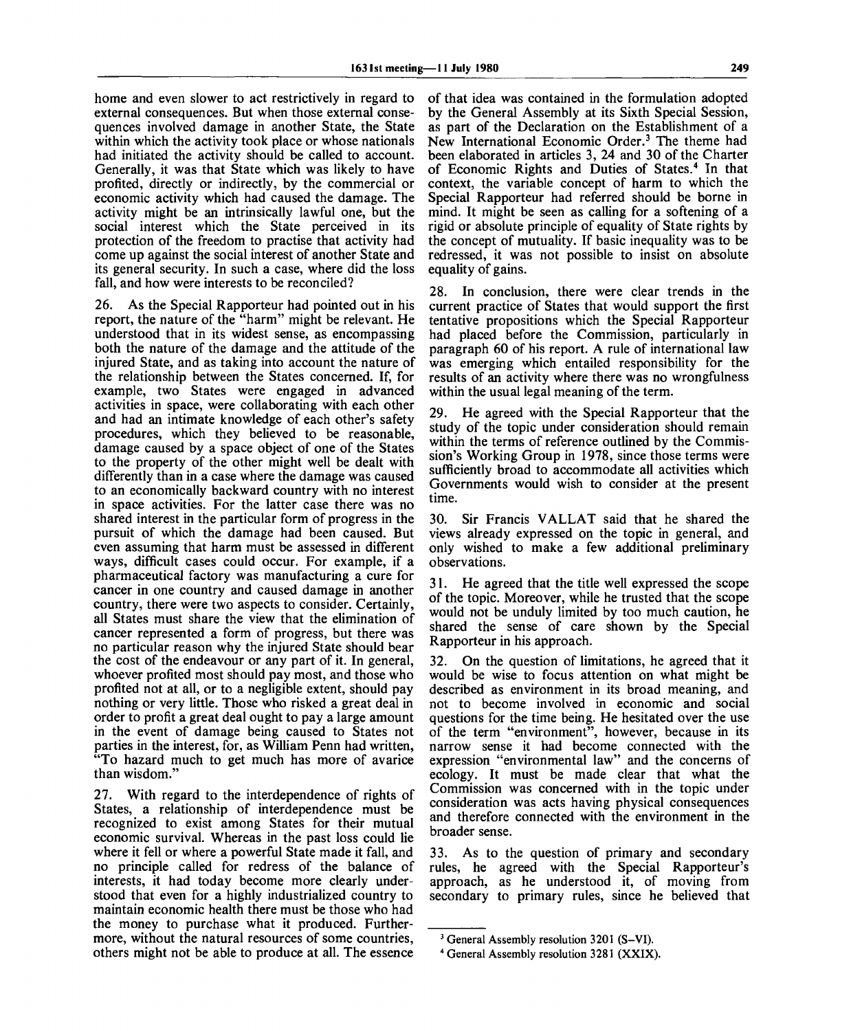home and even slower to act restrictively in regard to external consequences. But when those external consequences involved damage in another State, the State within which the activity took place or whose nationals had initiated the activity should be called to account. Generally, it was that State which was likely to have profited, directly or indirectly, by the commercial or economic activity which had caused the damage. The activity might be an intrinsically lawful one, but the social interest which the State perceived in its protection of the freedom to practise that activity had come up against the social interest of another State and its general security. In such a case, where did the loss fall, and how were interests to be reconciled?

26. As the Special Rapporteur had pointed out in his report, the nature of the "harm" might be relevant. He understood that in its widest sense, as encompassing both the nature of the damage and the attitude of the injured State, and as taking into account the nature of the relationship between the States concerned. If, for example, two States were engaged in advanced activities in space, were collaborating with each other and had an intimate knowledge of each other's safety procedures, which they believed to be reasonable, damage caused by a space object of one of the States to the property of the other might well be dealt with differently than in a case where the damage was caused to an economically backward country with no interest in space activities. For the latter case there was no shared interest in the particular form of progress in the pursuit of which the damage had been caused. But even assuming that harm must be assessed in different ways, difficult cases could occur. For example, if a pharmaceutical factory was manufacturing a cure for cancer in one country and caused damage in another country, there were two aspects to consider. Certainly, all States must share the view that the elimination of cancer represented a form of progress, but there was no particular reason why the injured State should bear the cost of the endeavour or any part of it. In general, whoever profited most should pay most, and those who profited not at all, or to a negligible extent, should pay nothing or very little. Those who risked a great deal in order to profit a great deal ought to pay a large amount in the event of damage being caused to States not parties in the interest, for, as William Penn had written, "To hazard much to get much has more of avarice than wisdom."

27. With regard to the interdependence of rights of States, a relationship of interdependence must be recognized to exist among States for their mutual economic survival. Whereas in the past loss could lie where it fell or where a powerful State made it fall, and no principle called for redress of the balance of interests, it had today become more clearly understood that even for a highly industrialized country to maintain economic health there must be those who had the money to purchase what it produced. Furthermore, without the natural resources of some countries, others might not be able to produce at all. The essence

of that idea was contained in the formulation adopted by the General Assembly at its Sixth Special Session, as part of the Declaration on the Establishment of a New International Economic Order.<sup>3</sup> The theme had been elaborated in articles 3, 24 and 30 of the Charter of Economic Rights and Duties of States.<sup>4</sup> In that context, the variable concept of harm to which the Special Rapporteur had referred should be borne in mind. It might be seen as calling for a softening of a rigid or absolute principle of equality of State rights by the concept of mutuality. If basic inequality was to be redressed, it was not possible to insist on absolute equality of gains.

28. In conclusion, there were clear trends in the current practice of States that would support the first tentative propositions which the Special Rapporteur had placed before the Commission, particularly in paragraph 60 of his report. A rule of international law was emerging which entailed responsibility for the results of an activity where there was no wrongfulness within the usual legal meaning of the term.

29. He agreed with the Special Rapporteur that the study of the topic under consideration should remain within the terms of reference outlined by the Commission's Working Group in 1978, since those terms were sufficiently broad to accommodate all activities which Governments would wish to consider at the present time.

30. Sir Francis VALLAT said that he shared the views already expressed on the topic in general, and only wished to make a few additional preliminary observations.

31. He agreed that the title well expressed the scope of the topic. Moreover, while he trusted that the scope would not be unduly limited by too much caution, he shared the sense of care shown by the Special Rapporteur in his approach.

32. On the question of limitations, he agreed that it would be wise to focus attention on what might be described as environment in its broad meaning, and not to become involved in economic and social questions for the time being. He hesitated over the use of the term "environment", however, because in its narrow sense it had become connected with the expression "environmental law" and the concerns of ecology. It must be made clear that what the Commission was concerned with in the topic under consideration was acts having physical consequences and therefore connected with the environment in the broader sense.

33. As to the question of primary and secondary rules, he agreed with the Special Rapporteur's approach, as he understood it, of moving from secondary to primary rules, since he believed that

<sup>&</sup>lt;sup>3</sup> General Assembly resolution 3201 (S-VI).

<sup>4</sup> General Assembly resolution 3281 (XXIX).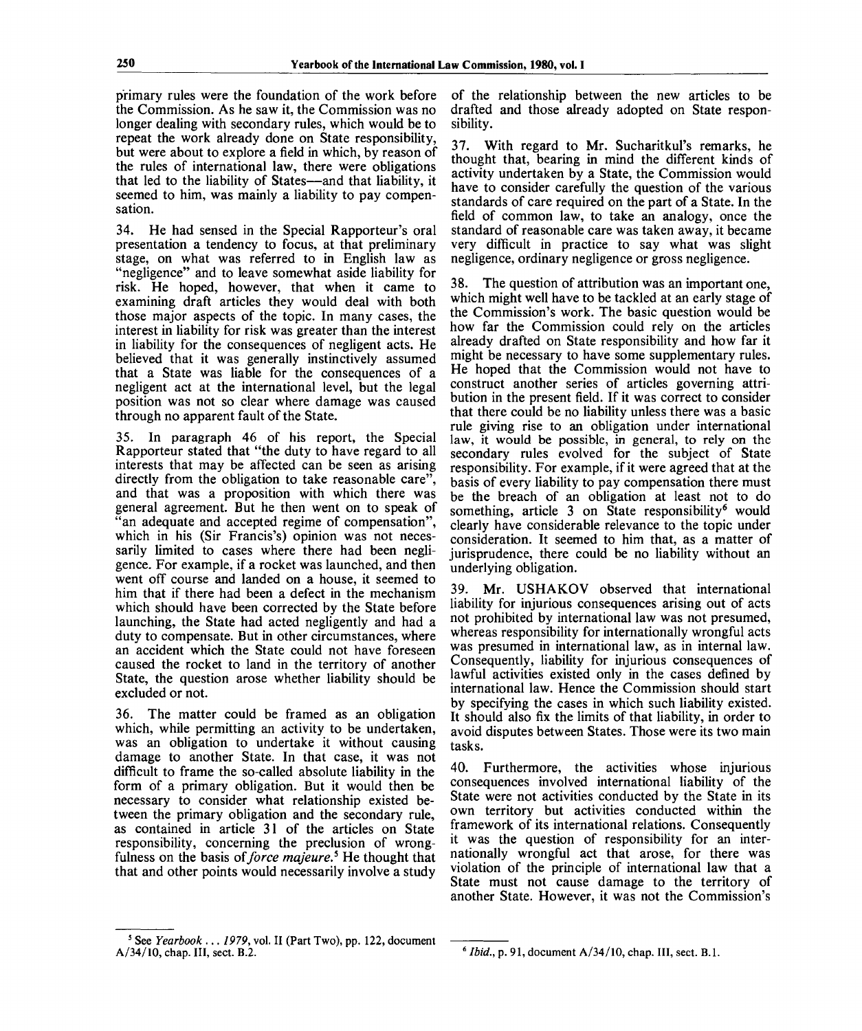primary rules were the foundation of the work before the Commission. As he saw it, the Commission was no longer dealing with secondary rules, which would be to repeat the work already done on State responsibility, but were about to explore a field in which, by reason of the rules of international law, there were obligations that led to the liability of States—and that liability, it seemed to him, was mainly a liability to pay compensation.

34. He had sensed in the Special Rapporteur's oral presentation a tendency to focus, at that preliminary stage, on what was referred to in English law as "negligence" and to leave somewhat aside liability for risk. He hoped, however, that when it came to examining draft articles they would deal with both those major aspects of the topic. In many cases, the interest in liability for risk was greater than the interest in liability for the consequences of negligent acts. He believed that it was generally instinctively assumed that a State was liable for the consequences of a negligent act at the international level, but the legal position was not so clear where damage was caused through no apparent fault of the State.

35. In paragraph 46 of his report, the Special Rapporteur stated that "the duty to have regard to all interests that may be affected can be seen as arising directly from the obligation to take reasonable care", and that was a proposition with which there was general agreement. But he then went on to speak of an adequate and accepted regime of compensation", which in his (Sir Francis's) opinion was not necessarily limited to cases where there had been negligence. For example, if a rocket was launched, and then went off course and landed on a house, it seemed to him that if there had been a defect in the mechanism which should have been corrected by the State before launching, the State had acted negligently and had a duty to compensate. But in other circumstances, where an accident which the State could not have foreseen caused the rocket to land in the territory of another State, the question arose whether liability should be excluded or not.

36. The matter could be framed as an obligation which, while permitting an activity to be undertaken, was an obligation to undertake it without causing damage to another State. In that case, it was not difficult to frame the so-called absolute liability in the form of a primary obligation. But it would then be necessary to consider what relationship existed between the primary obligation and the secondary rule, as contained in article 31 of the articles on State responsibility, concerning the preclusion of wrongfulness on the basis of force majeure.<sup>5</sup> He thought that that and other points would necessarily involve a study

of the relationship between the new articles to be drafted and those already adopted on State responsibility.

37. With regard to Mr. Sucharitkul's remarks, he thought that, bearing in mind the different kinds of activity undertaken by a State, the Commission would have to consider carefully the question of the various standards of care required on the part of a State. In the field of common law, to take an analogy, once the standard of reasonable care was taken away, it became very difficult in practice to say what was slight negligence, ordinary negligence or gross negligence.

38. The question of attribution was an important one, which might well have to be tackled at an early stage of the Commission's work. The basic question would be how far the Commission could rely on the articles already drafted on State responsibility and how far it might be necessary to have some supplementary rules. He hoped that the Commission would not have to construct another series of articles governing attribution in the present field. If it was correct to consider that there could be no liability unless there was a basic rule giving rise to an obligation under international law, it would be possible, in general, to rely on the secondary rules evolved for the subject of State responsibility. For example, if it were agreed that at the basis of every liability to pay compensation there must be the breach of an obligation at least not to do something, article  $\overline{3}$  on State responsibility<sup>6</sup> would clearly have considerable relevance to the topic under consideration. It seemed to him that, as a matter of jurisprudence, there could be no liability without an underlying obligation.

39. Mr. USHAKOV observed that international liability for injurious consequences arising out of acts not prohibited by international law was not presumed, whereas responsibility for internationally wrongful acts was presumed in international law, as in internal law. Consequently, liability for injurious consequences of lawful activities existed only in the cases defined by international law. Hence the Commission should start by specifying the cases in which such liability existed. It should also fix the limits of that liability, in order to avoid disputes between States. Those were its two main tasks.

40. Furthermore, the activities whose injurious consequences involved international liability of the State were not activities conducted by the State in its own territory but activities conducted within the framework of its international relations. Consequently it was the question of responsibility for an internationally wrongful act that arose, for there was violation of the principle of international law that a State must not cause damage to the territory of another State. However, it was not the Commission's

<sup>5</sup> See *Yearbook ...1979,* vol. II (Part Two), pp. 122, document A/34/10, chap. Ill, sect. B.2.

<sup>6</sup>  *Ibid.,* p. 91, document A/34/10, chap. HI, sect. B.I.